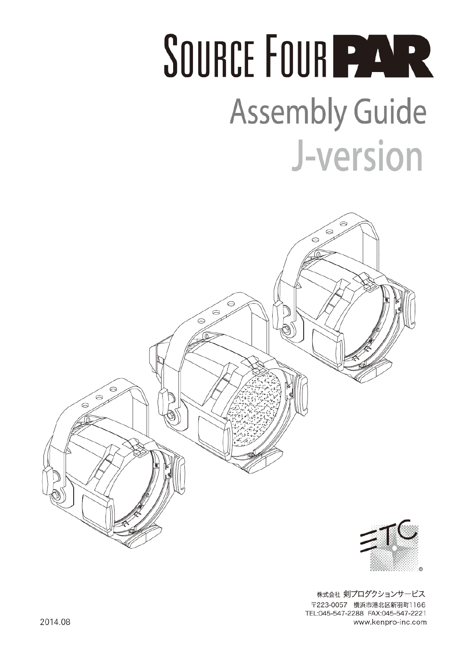## SOURCE FOUR PAR **Assembly Guide** J-version

 $\approx$ 

.<br>ဓ

⊝



 $\approx$ 

 $\odot$ 

 $\odot$ 



株式会社 剣プロダクションサービス 〒223-0057 横浜市港北区新羽町1166 TEL:045-547-2288 FAX:045-547-2221 www.kenpro-inc.com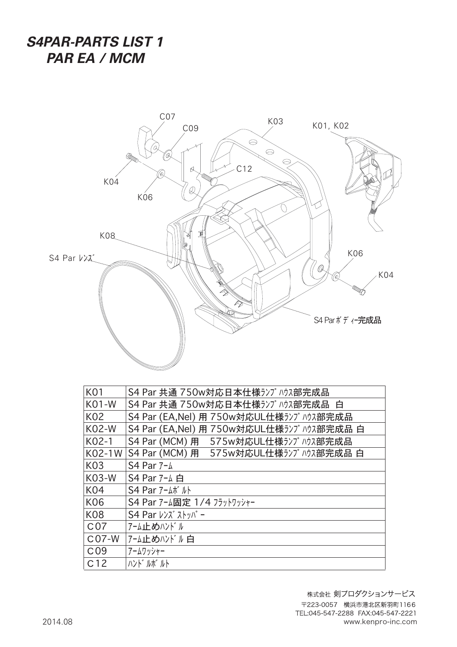## *S4PAR-PARTS LIST 1 PAR EA / MCM*



| <b>K01</b>      | S4 Par 共通 750w対応日本仕様ランプハウス部完成品            |
|-----------------|-------------------------------------------|
| <b>K01-W</b>    | S4 Par 共通 750w対応日本仕様ランプ ハウス部完成品 白         |
| K02             | S4 Par (EA, Nel) 用 750w対応UL仕様ランプ ハウス部完成品  |
| <b>K02-W</b>    | S4 Par (EA,Nel) 用 750w対応UL仕様ランプハウス部完成品 白  |
| K02-1           | S4 Par (MCM) 用 575w対応UL仕様ランプハウス部完成品       |
| K02-1W          | S4 Par (MCM) 用 575w対応UL仕様ランプハウス部完成品 白     |
| K03             | S4 Par 7-4                                |
| <b>K03-W</b>    | S4 Par 7-4 白                              |
| <b>K04</b>      | $S4$ Par $7-\Delta\pi$ <sup>*</sup> $\mu$ |
| K06             | S4 Par 7-ム固定 1/4 フラットワッシャー                |
| <b>K08</b>      |                                           |
| C <sub>07</sub> | アーム止めハンドル                                 |
| $C07-W$         | アーム止めハンドル白                                |
| C <sub>09</sub> | アームワッシャー                                  |
| C <sub>12</sub> | ハンド・ルボールト                                 |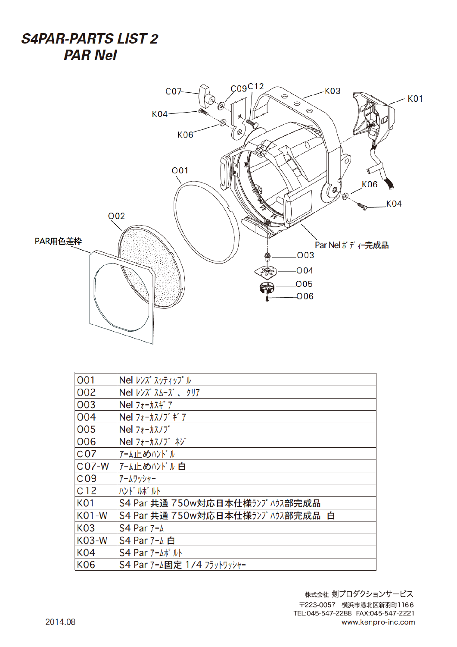**S4PAR-PARTS LIST 2 PAR Nel** 



| 001             | Nel レンズ スッティップ ル                       |
|-----------------|----------------------------------------|
| 002             | Nel レンズ スムーズ 、 クリア                     |
| 003             | $Nel$ $7 + -h$ $7 + 7$                 |
| 004             | Nel $7t - \frac{1}{2}$ $7t$ $\neq$ $7$ |
| 005             | Nel $7 + -\frac{1}{2}$                 |
| <b>OO6</b>      | Nel フォーカスノブ ネジ                         |
| C <sub>07</sub> | アーム止めハンドル                              |
| $C07-W$         | アーム止めハンドル白                             |
| C <sub>09</sub> | アームワッシャー                               |
| C <sub>12</sub> | ハンド゛ルボ゛ルト                              |
| <b>K01</b>      | S4 Par 共通 750w対応日本仕様ランプハウス部完成品         |
| <b>K01-W</b>    | S4 Par 共通 750w対応日本仕様ランプハウス部完成品 白       |
| <b>K03</b>      | S4 Par 7-4                             |
| <b>K03-W</b>    | S4 Par 7-4 白                           |
| <b>K04</b>      | $S4$ Par $7 - \Delta \vec{r}$ $\mu$    |
| <b>K06</b>      | S4 Par 7-ム固定 1/4 フラットワッシャー             |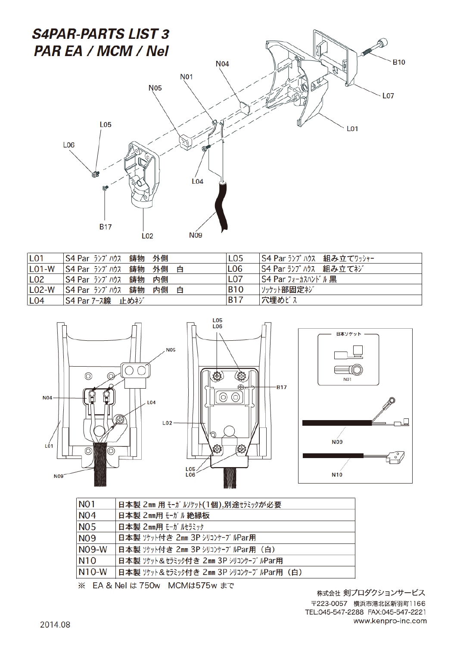

| L <sub>01</sub> | S4 Par ランプハウス 鋳物 外側         | LO <sub>5</sub> | S4 Par ランプハウス 組み立てワッシャー |
|-----------------|-----------------------------|-----------------|-------------------------|
| $LO1-W$         | S4 Par ランプハウス 鋳物 外側<br>白    | L <sub>06</sub> | S4 Par ランプハウス 組み立てネジ    |
| L <sub>02</sub> | S4 Par ランプハウス 鋳物<br>内側      | L <sub>07</sub> | S4 Par フォーカスハンドル 黒      |
| $LO2-W$         | S4 Par ランプハウス 鋳物<br>内側<br>白 | <b>B10</b>      | ソッケット部固定ネジ              |
| L <sub>04</sub> | S4 Par アース線 止めネジ            | <b>B17</b>      | 穴埋めビス                   |



| <b>NO1</b> | 日本製 2mm 用 モーガ ルリケット (1個),別途セラミックが必要      |  |
|------------|------------------------------------------|--|
| <b>NO4</b> | 日本製 2mm用 モーガル絶縁板                         |  |
| <b>NO5</b> | 日本製 2mm用 モーガ ルセラミック                      |  |
| <b>NO9</b> | 日本製 ソケット付き 2mm 3P シリコンケーブルPar用           |  |
| $N09-W$    | 日本製 ソケット付き 2㎜ 3P シリコンケーブルPar用 (白)        |  |
| <b>N10</b> | 日本製 ソケット&セラミック付き 2mm 3P シリコンケーブルPar用     |  |
| $N10-W$    | 日本製 ソケット&セラミック付き 2mm 3P シリコンケーブルPar用 (白) |  |

※ EA & Nel は 750w MCMは575w まで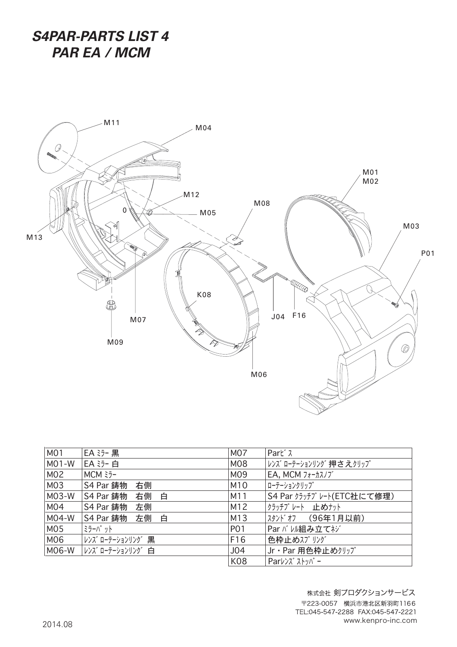*S4PAR-PARTS LIST 4 PAR EA / MCM*



| M <sub>0</sub> 1 | EA ミラー 黒             | <b>M07</b>      | Part <sup>*</sup> $\lambda$                                           |
|------------------|----------------------|-----------------|-----------------------------------------------------------------------|
| $MO1-W$          | EA 35-白              | M08             | レンズ ローテーションリング 押さえクリップ                                                |
| M02              | $MCM \geq -$         | M09             | EA, MCM $7 + -\frac{1}{2}$                                            |
| M03              | S4 Par 鋳物<br>右側      | M10             | ローテーションクリップ                                                           |
| M03-W            | S4 Par 鋳物<br>白<br>右側 | M11             | S4 Par クラッチプレート(ETC社にて修理)                                             |
| M04              | S4 Par 鋳物<br>左側      | M12             | クラッチプレート 止めナット                                                        |
| M04-W            | S4 Par 鋳物<br>左側<br>白 | M13             | スタンドオフ (96年1月以前)                                                      |
| M05              | ミラーパット               | <b>PO1</b>      | Par バ い組み立てネジ                                                         |
| M06              | レンズ ローテーションリング 黒     | F16             | 色枠止めスプリング                                                             |
| MO6-W            | レンズ ローテーションリング 白     | J <sub>04</sub> | Jr · Par 用色枠止めクリップ                                                    |
|                  |                      | <b>K08</b>      | Par $\nu$ $\nu$ $\lambda$ <sup>*</sup> $\lambda$ $\nu$ <sup>*</sup> - |